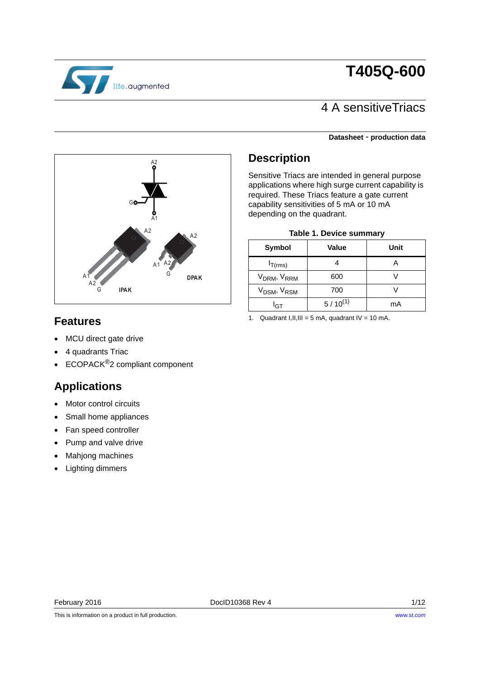# **T405Q-600**



## 4 A sensitiveTriacs

### **Datasheet** - **production data**



## **Description**

Sensitive Triacs are intended in general purpose applications where high surge current capability is required. These Triacs feature a gate current capability sensitivities of 5 mA or 10 mA depending on the quadrant.

| <b>Table 1. Device summary</b>      |              |      |  |  |  |
|-------------------------------------|--------------|------|--|--|--|
| Symbol                              | <b>Value</b> | Unit |  |  |  |
| $I_{T(rms)}$                        |              |      |  |  |  |
| V <sub>DRM</sub> , V <sub>RRM</sub> | 600          |      |  |  |  |
| V <sub>DSM</sub> , V <sub>RSM</sub> | 700          |      |  |  |  |
| דףا                                 | $5/10^{(1)}$ | mA   |  |  |  |

### **Features**

- MCU direct gate drive
- 4 quadrants Triac
- ECOPACK<sup>®</sup>2 compliant component

## **Applications**

- Motor control circuits
- Small home appliances
- Fan speed controller
- Pump and valve drive
- Mahjong machines
- Lighting dimmers

1. Quadrant I, II, III = 5 mA, quadrant  $IV = 10$  mA.

This is information on a product in full production.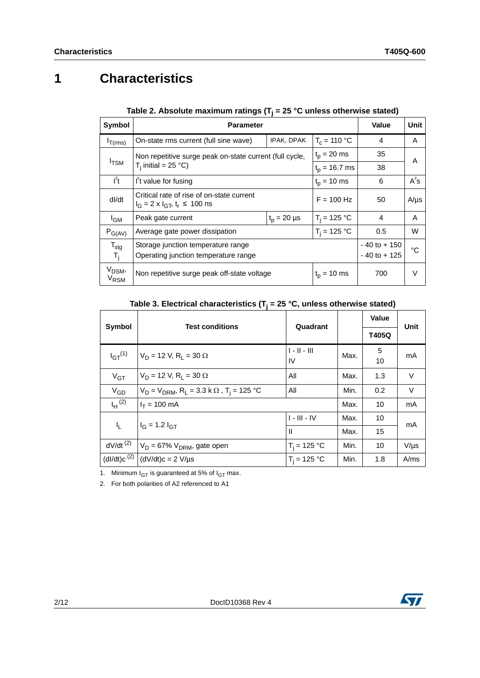# **1 Characteristics**

| Symbol                                 | <b>Parameter</b>                                                                        | Value                              | Unit              |           |   |
|----------------------------------------|-----------------------------------------------------------------------------------------|------------------------------------|-------------------|-----------|---|
| $I_{T(rms)}$                           | On-state rms current (full sine wave)                                                   | $T_c = 110 °C$                     | 4                 | A         |   |
|                                        | Non repetitive surge peak on-state current (full cycle,                                 |                                    | $t_p = 20$ ms     | 35        | A |
|                                        | <sup>I</sup> TSM<br>$T_i$ initial = 25 °C)                                              |                                    | $t_{p}$ = 16.7 ms | 38        |   |
| $I^2t$                                 | I <sup>2</sup> t value for fusing                                                       | 6                                  | $A^2S$            |           |   |
| dl/dt                                  | Critical rate of rise of on-state current<br>$I_G = 2 \times I_{GT}$ , $t_r \le 100$ ns | $F = 100$ Hz                       | 50                | $A/\mu s$ |   |
| <sup>I</sup> GM                        | Peak gate current                                                                       | $t_p = 20 \mu s$                   | $T_i = 125 °C$    | 4         | A |
| $P_{G(AV)}$                            | Average gate power dissipation                                                          | 0.5                                | W                 |           |   |
| $T_{\text{stg}}$<br>$T_{\rm i}$        | Storage junction temperature range<br>Operating junction temperature range              | $-40$ to $+150$<br>$-40$ to $+125$ | °C                |           |   |
| V <sub>DSM</sub> ,<br>V <sub>RSM</sub> | Non repetitive surge peak off-state voltage                                             | 700                                | V                 |           |   |

**Table 2. Absolute maximum ratings (Tj = 25 °C unless otherwise stated)**

**Table 3. Electrical characteristics (Tj = 25 °C, unless otherwise stated)**

|                        | <b>Test conditions</b>                                                      | Quadrant             |      | <b>Value</b> | Unit      |
|------------------------|-----------------------------------------------------------------------------|----------------------|------|--------------|-----------|
| Symbol                 |                                                                             |                      |      | T405Q        |           |
| $I_{GT}^{(1)}$         | $V_D = 12 V, R_1 = 30 \Omega$                                               | $1 - 11 - 111$<br>IV | Max. | 5<br>10      | mA        |
| $V_{GT}$               | $V_D = 12 V$ , R <sub>1</sub> = 30 $\Omega$                                 | All                  | Max. | 1.3          | $\vee$    |
| $V_{GD}$               | $V_D = V_{DRM}$ , R <sub>L</sub> = 3.3 k $\Omega$ , T <sub>i</sub> = 125 °C | All                  | Min. | 0.2          | $\vee$    |
| $I_H$ <sup>(2)</sup>   | $I_T = 100$ mA                                                              |                      | Max. | 10           | mA        |
| ı,                     | $I_G = 1.2 I_{GT}$                                                          | $I - III - IV$       | Max. | 10           | mA        |
|                        |                                                                             | $\mathbf{I}$         | Max. | 15           |           |
| $dV/dt$ <sup>(2)</sup> | $V_D$ = 67% $V_{DRM}$ , gate open                                           | $T_i = 125 °C$       | Min. | 10           | $V/\mu s$ |
| $(dI/dt)c^{(2)}$       | $(dV/dt)c = 2 V/\mu s$                                                      | $T_i = 125 °C$       | Min. | 1.8          | A/ms      |

1. Minimum  $I_{GT}$  is guaranteed at 5% of  $I_{GT}$  max.

2. For both polarities of A2 referenced to A1

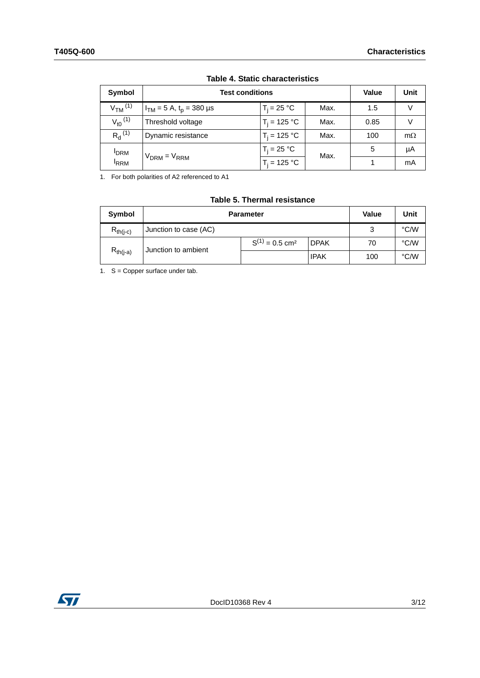| Symbol                  | <b>Test conditions</b>                  | <b>Value</b>   | Unit |      |           |
|-------------------------|-----------------------------------------|----------------|------|------|-----------|
| $VTM$ <sup>(1)</sup>    | $I_{TM}$ = 5 A, t <sub>p</sub> = 380 µs | $T_i = 25 °C$  | Max. | 1.5  | V         |
| $V_{t0}$ <sup>(1)</sup> | Threshold voltage                       | $T_i = 125 °C$ | Max. | 0.85 | V         |
| $R_{d}^{(1)}$           | Dynamic resistance                      | $T_i = 125 °C$ | Max. | 100  | $m\Omega$ |
| <b>I</b> DRM            |                                         | $T_i = 25 °C$  | Max. | 5    | μA        |
| <sup>I</sup> RRM        | $V_{DRM} = V_{RRM}$                     | $T_i = 125 °C$ |      |      | mA        |

### **Table 4. Static characteristics**

1. For both polarities of A2 referenced to A1

| <b>Symbol</b>       |                       | <b>Parameter</b>                |             |     |      |
|---------------------|-----------------------|---------------------------------|-------------|-----|------|
| $R_{th(i-c)}$       | Junction to case (AC) |                                 |             | 3   | °C/W |
| Junction to ambient |                       | $S^{(1)} = 0.5$ cm <sup>2</sup> | <b>DPAK</b> | 70  | °C/W |
| $R_{th(i-a)}$       |                       |                                 | <b>IPAK</b> | 100 | °C/W |

### **Table 5. Thermal resistance**

1. S = Copper surface under tab.

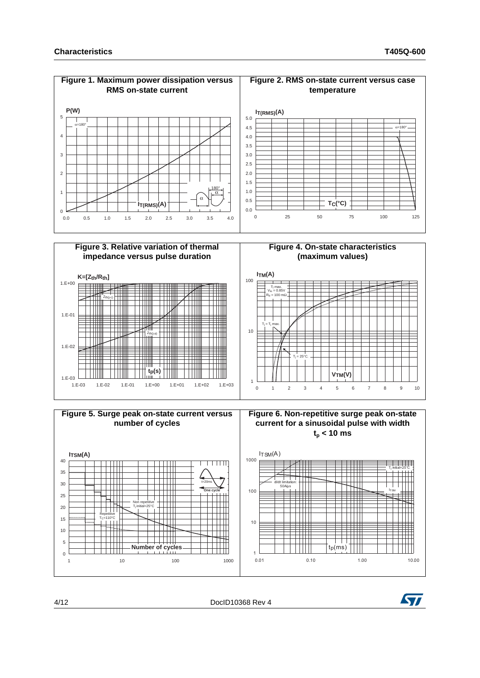





4/12 DocID10368 Rev 4

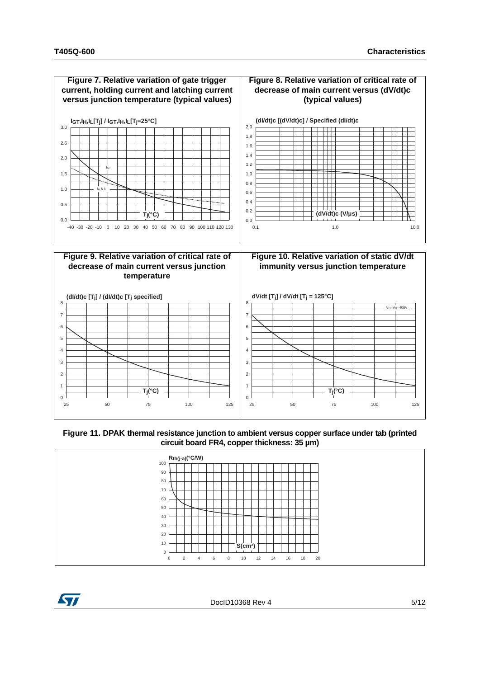

**Figure 11. DPAK thermal resistance junction to ambient versus copper surface under tab (printed circuit board FR4, copper thickness: 35 µm)**





DocID10368 Rev 4 5/12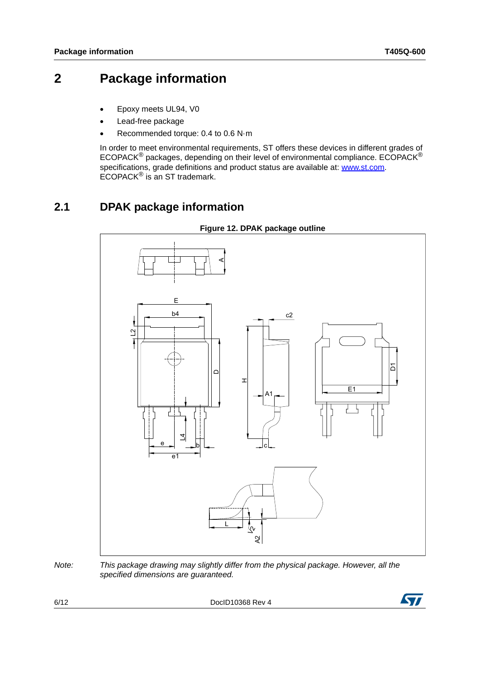## **2 Package information**

- Epoxy meets UL94, V0
- Lead-free package
- Recommended torque: 0.4 to 0.6 N·m

In order to meet environmental requirements, ST offers these devices in different grades of ECOPACK® packages, depending on their level of environmental compliance. ECOPACK® specifications, grade definitions and product status are available at: **[www.st.com](http://www.st.com)**. ECOPACK® is an ST trademark.

### **2.1 DPAK package information**



**Figure 12. DPAK package outline**

6/12 DocID10368 Rev 4



*Note: This package drawing may slightly differ from the physical package. However, all the specified dimensions are guaranteed.*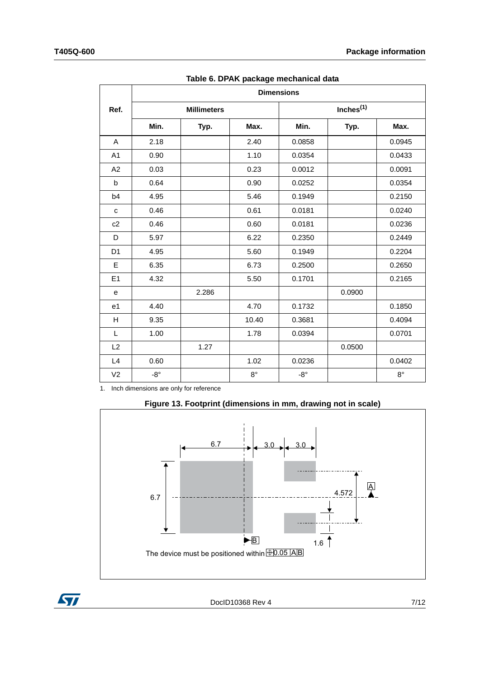|                |              |                    |             | <b>Dimensions</b> |              |             |
|----------------|--------------|--------------------|-------------|-------------------|--------------|-------------|
| Ref.           |              | <b>Millimeters</b> |             |                   | Inches $(1)$ |             |
|                | Min.         | Typ.               | Max.        | Min.              | Typ.         | Max.        |
| A              | 2.18         |                    | 2.40        | 0.0858            |              | 0.0945      |
| A <sub>1</sub> | 0.90         |                    | 1.10        | 0.0354            |              | 0.0433      |
| A2             | 0.03         |                    | 0.23        | 0.0012            |              | 0.0091      |
| b              | 0.64         |                    | 0.90        | 0.0252            |              | 0.0354      |
| b4             | 4.95         |                    | 5.46        | 0.1949            |              | 0.2150      |
| c              | 0.46         |                    | 0.61        | 0.0181            |              | 0.0240      |
| c2             | 0.46         |                    | 0.60        | 0.0181            |              | 0.0236      |
| D              | 5.97         |                    | 6.22        | 0.2350            |              | 0.2449      |
| D <sub>1</sub> | 4.95         |                    | 5.60        | 0.1949            |              | 0.2204      |
| E              | 6.35         |                    | 6.73        | 0.2500            |              | 0.2650      |
| E1             | 4.32         |                    | 5.50        | 0.1701            |              | 0.2165      |
| е              |              | 2.286              |             |                   | 0.0900       |             |
| e1             | 4.40         |                    | 4.70        | 0.1732            |              | 0.1850      |
| н              | 9.35         |                    | 10.40       | 0.3681            |              | 0.4094      |
| L              | 1.00         |                    | 1.78        | 0.0394            |              | 0.0701      |
| L2             |              | 1.27               |             |                   | 0.0500       |             |
| L4             | 0.60         |                    | 1.02        | 0.0236            |              | 0.0402      |
| V <sub>2</sub> | $-8^{\circ}$ |                    | $8^{\circ}$ | $-8^{\circ}$      |              | $8^{\circ}$ |

**Table 6. DPAK package mechanical data**

1. Inch dimensions are only for reference



**Figure 13. Footprint (dimensions in mm, drawing not in scale)**

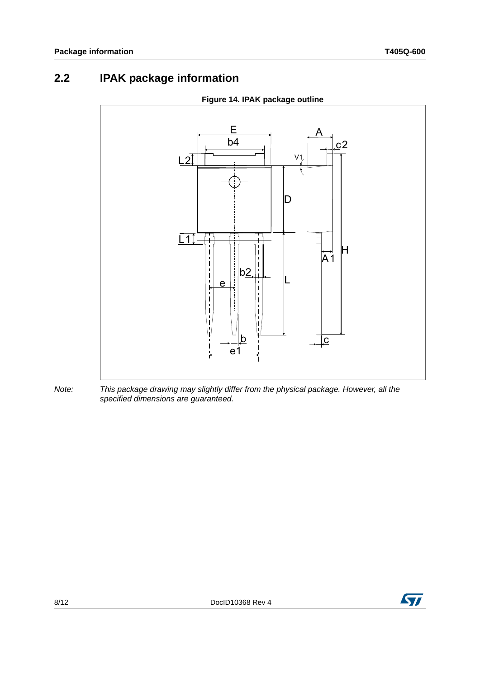# **2.2 IPAK package information**



### *Note: This package drawing may slightly differ from the physical package. However, all the specified dimensions are guaranteed.*

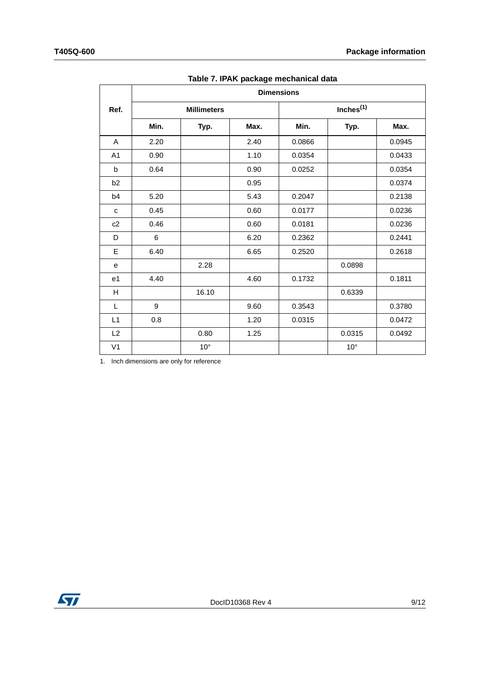|                |      |                    |      | <b>Dimensions</b> |                       |        |
|----------------|------|--------------------|------|-------------------|-----------------------|--------|
| Ref.           |      | <b>Millimeters</b> |      |                   | Inches <sup>(1)</sup> |        |
|                | Min. | Typ.               | Max. | Min.              | Typ.                  | Max.   |
| Α              | 2.20 |                    | 2.40 | 0.0866            |                       | 0.0945 |
| A <sub>1</sub> | 0.90 |                    | 1.10 | 0.0354            |                       | 0.0433 |
| $\sf b$        | 0.64 |                    | 0.90 | 0.0252            |                       | 0.0354 |
| b <sub>2</sub> |      |                    | 0.95 |                   |                       | 0.0374 |
| b4             | 5.20 |                    | 5.43 | 0.2047            |                       | 0.2138 |
| C              | 0.45 |                    | 0.60 | 0.0177            |                       | 0.0236 |
| c2             | 0.46 |                    | 0.60 | 0.0181            |                       | 0.0236 |
| D              | 6    |                    | 6.20 | 0.2362            |                       | 0.2441 |
| E              | 6.40 |                    | 6.65 | 0.2520            |                       | 0.2618 |
| e              |      | 2.28               |      |                   | 0.0898                |        |
| e1             | 4.40 |                    | 4.60 | 0.1732            |                       | 0.1811 |
| н              |      | 16.10              |      |                   | 0.6339                |        |
| L              | 9    |                    | 9.60 | 0.3543            |                       | 0.3780 |
| L1             | 0.8  |                    | 1.20 | 0.0315            |                       | 0.0472 |
| L2             |      | 0.80               | 1.25 |                   | 0.0315                | 0.0492 |
| V <sub>1</sub> |      | $10^{\circ}$       |      |                   | $10^{\circ}$          |        |

**Table 7. IPAK package mechanical data**

1. Inch dimensions are only for reference

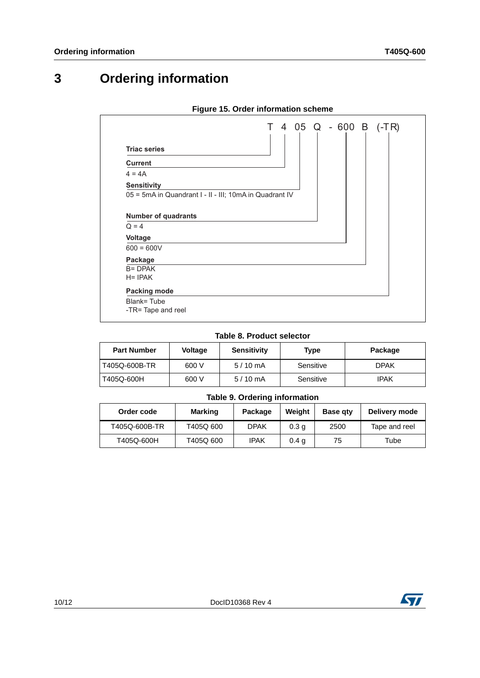# **3 Ordering information**

|                                                         | T 4 05 Q - 600 B (-TR) |
|---------------------------------------------------------|------------------------|
| <b>Triac series</b>                                     |                        |
| <b>Current</b>                                          |                        |
| $4 = 4A$                                                |                        |
| <b>Sensitivity</b>                                      |                        |
| 05 = 5mA in Quandrant I - II - III; 10mA in Quadrant IV |                        |
|                                                         |                        |
| <b>Number of quadrants</b>                              |                        |
| $Q = 4$                                                 |                        |
| <b>Voltage</b>                                          |                        |
| $600 = 600V$                                            |                        |
| Package                                                 |                        |
| $B = DPAK$                                              |                        |
| $H = IPAK$                                              |                        |
| Packing mode                                            |                        |
| Blank=Tube                                              |                        |
| -TR= Tape and reel                                      |                        |

### **Figure 15. Order information scheme**

### **Table 8. Product selector**

| <b>Part Number</b> | <b>Voltage</b> | <b>Sensitivity</b> | Type      | Package     |
|--------------------|----------------|--------------------|-----------|-------------|
| T405Q-600B-TR      | 600 V          | $5/10$ mA          | Sensitive | <b>DPAK</b> |
| T405Q-600H         | 600 V          | $5/10 \text{ mA}$  | Sensitive | IPAK        |

### **Table 9. Ordering information**

| Order code    | Marking   | Package     | Weight           | <b>Base gtv</b> | Delivery mode |
|---------------|-----------|-------------|------------------|-----------------|---------------|
| T405Q-600B-TR | T405Q 600 | <b>DPAK</b> | 0.3 <sub>q</sub> | 2500            | Tape and reel |
| T405Q-600H    | T405Q 600 | IPAK        | 0.4 <sub>q</sub> | 75              | Tube          |

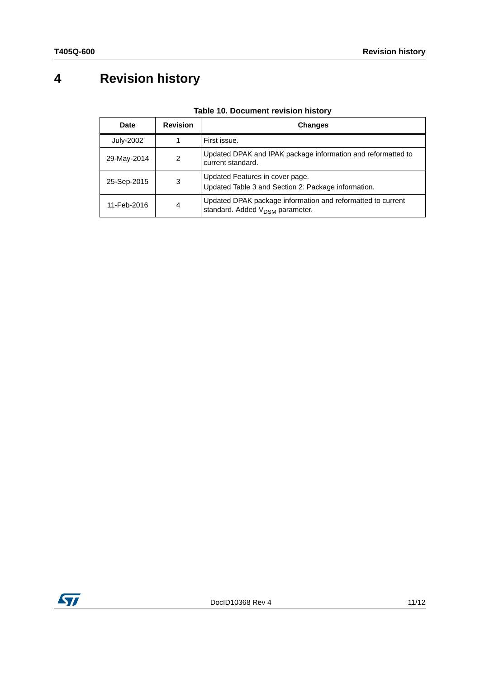# **4 Revision history**

| <b>Date</b>      | <b>Revision</b> | <b>Changes</b>                                                                                             |
|------------------|-----------------|------------------------------------------------------------------------------------------------------------|
| <b>July-2002</b> |                 | First issue.                                                                                               |
| 29-May-2014      | 2               | Updated DPAK and IPAK package information and reformatted to<br>current standard.                          |
| 25-Sep-2015      | 3               | Updated Features in cover page.<br>Updated Table 3 and Section 2: Package information.                     |
| 11-Feb-2016      | 4               | Updated DPAK package information and reformatted to current<br>standard. Added V <sub>DSM</sub> parameter. |

### **Table 10. Document revision history**